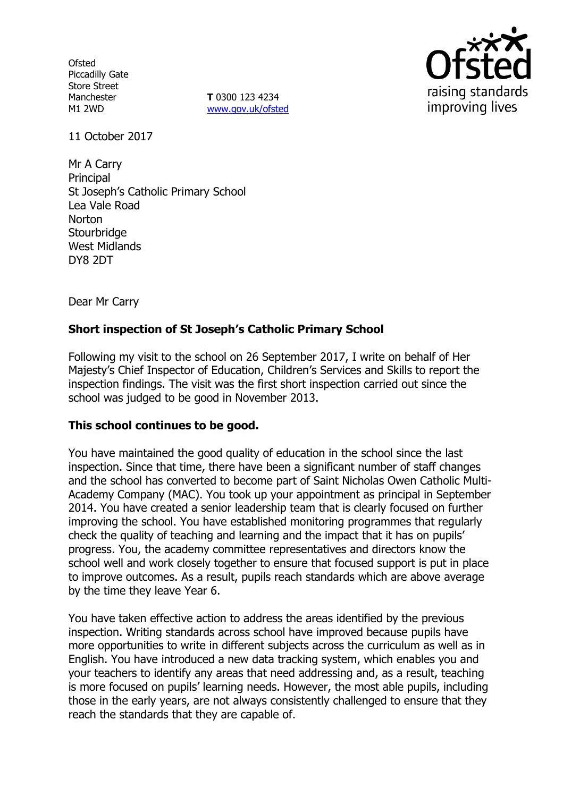**Ofsted** Piccadilly Gate Store Street Manchester M1 2WD

**T** 0300 123 4234 [www.gov.uk/ofsted](http://www.gov.uk/ofsted)



11 October 2017

Mr A Carry Principal St Joseph's Catholic Primary School Lea Vale Road Norton **Stourbridge** West Midlands DY8 2DT

Dear Mr Carry

# **Short inspection of St Joseph's Catholic Primary School**

Following my visit to the school on 26 September 2017, I write on behalf of Her Majesty's Chief Inspector of Education, Children's Services and Skills to report the inspection findings. The visit was the first short inspection carried out since the school was judged to be good in November 2013.

#### **This school continues to be good.**

You have maintained the good quality of education in the school since the last inspection. Since that time, there have been a significant number of staff changes and the school has converted to become part of Saint Nicholas Owen Catholic Multi-Academy Company (MAC). You took up your appointment as principal in September 2014. You have created a senior leadership team that is clearly focused on further improving the school. You have established monitoring programmes that regularly check the quality of teaching and learning and the impact that it has on pupils' progress. You, the academy committee representatives and directors know the school well and work closely together to ensure that focused support is put in place to improve outcomes. As a result, pupils reach standards which are above average by the time they leave Year 6.

You have taken effective action to address the areas identified by the previous inspection. Writing standards across school have improved because pupils have more opportunities to write in different subjects across the curriculum as well as in English. You have introduced a new data tracking system, which enables you and your teachers to identify any areas that need addressing and, as a result, teaching is more focused on pupils' learning needs. However, the most able pupils, including those in the early years, are not always consistently challenged to ensure that they reach the standards that they are capable of.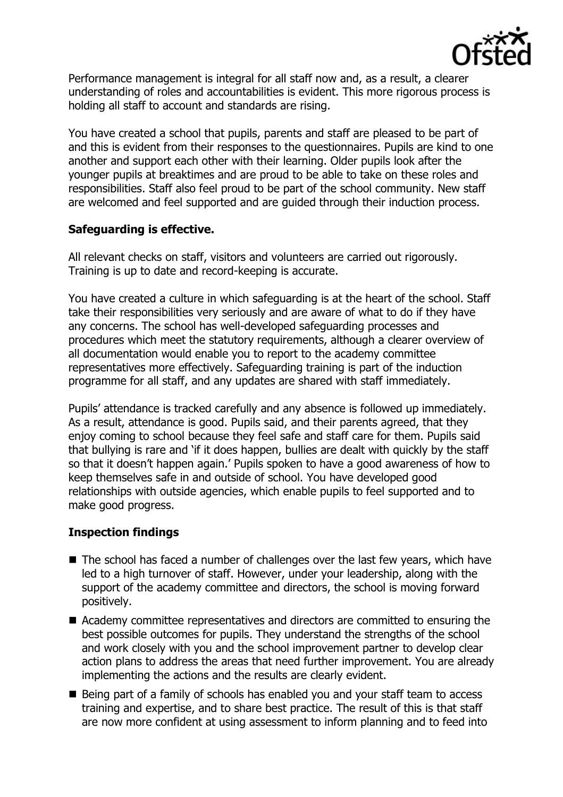

Performance management is integral for all staff now and, as a result, a clearer understanding of roles and accountabilities is evident. This more rigorous process is holding all staff to account and standards are rising.

You have created a school that pupils, parents and staff are pleased to be part of and this is evident from their responses to the questionnaires. Pupils are kind to one another and support each other with their learning. Older pupils look after the younger pupils at breaktimes and are proud to be able to take on these roles and responsibilities. Staff also feel proud to be part of the school community. New staff are welcomed and feel supported and are guided through their induction process.

# **Safeguarding is effective.**

All relevant checks on staff, visitors and volunteers are carried out rigorously. Training is up to date and record-keeping is accurate.

You have created a culture in which safeguarding is at the heart of the school. Staff take their responsibilities very seriously and are aware of what to do if they have any concerns. The school has well-developed safeguarding processes and procedures which meet the statutory requirements, although a clearer overview of all documentation would enable you to report to the academy committee representatives more effectively. Safeguarding training is part of the induction programme for all staff, and any updates are shared with staff immediately.

Pupils' attendance is tracked carefully and any absence is followed up immediately. As a result, attendance is good. Pupils said, and their parents agreed, that they enjoy coming to school because they feel safe and staff care for them. Pupils said that bullying is rare and 'if it does happen, bullies are dealt with quickly by the staff so that it doesn't happen again.' Pupils spoken to have a good awareness of how to keep themselves safe in and outside of school. You have developed good relationships with outside agencies, which enable pupils to feel supported and to make good progress.

# **Inspection findings**

- The school has faced a number of challenges over the last few years, which have led to a high turnover of staff. However, under your leadership, along with the support of the academy committee and directors, the school is moving forward positively.
- Academy committee representatives and directors are committed to ensuring the best possible outcomes for pupils. They understand the strengths of the school and work closely with you and the school improvement partner to develop clear action plans to address the areas that need further improvement. You are already implementing the actions and the results are clearly evident.
- Being part of a family of schools has enabled you and your staff team to access training and expertise, and to share best practice. The result of this is that staff are now more confident at using assessment to inform planning and to feed into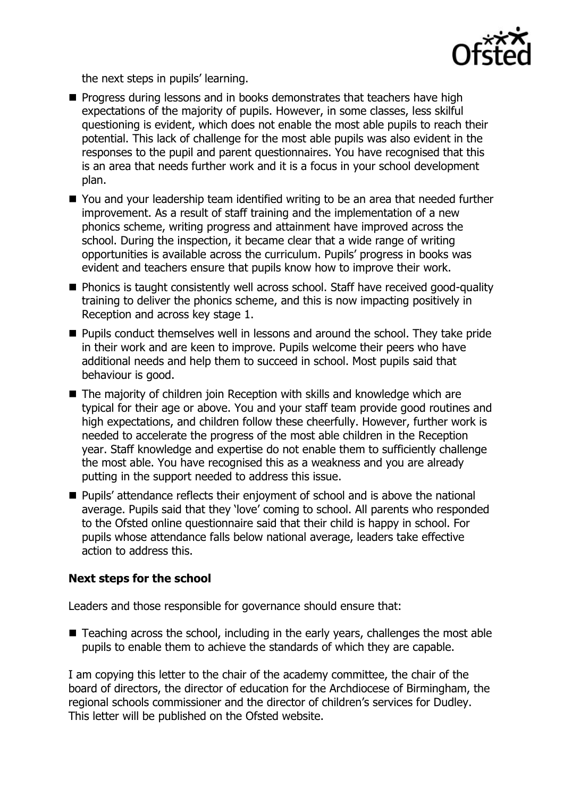

the next steps in pupils' learning.

- **Progress during lessons and in books demonstrates that teachers have high** expectations of the majority of pupils. However, in some classes, less skilful questioning is evident, which does not enable the most able pupils to reach their potential. This lack of challenge for the most able pupils was also evident in the responses to the pupil and parent questionnaires. You have recognised that this is an area that needs further work and it is a focus in your school development plan.
- You and your leadership team identified writing to be an area that needed further improvement. As a result of staff training and the implementation of a new phonics scheme, writing progress and attainment have improved across the school. During the inspection, it became clear that a wide range of writing opportunities is available across the curriculum. Pupils' progress in books was evident and teachers ensure that pupils know how to improve their work.
- **Phonics is taught consistently well across school. Staff have received good-quality** training to deliver the phonics scheme, and this is now impacting positively in Reception and across key stage 1.
- **Pupils conduct themselves well in lessons and around the school. They take pride** in their work and are keen to improve. Pupils welcome their peers who have additional needs and help them to succeed in school. Most pupils said that behaviour is good.
- The majority of children join Reception with skills and knowledge which are typical for their age or above. You and your staff team provide good routines and high expectations, and children follow these cheerfully. However, further work is needed to accelerate the progress of the most able children in the Reception year. Staff knowledge and expertise do not enable them to sufficiently challenge the most able. You have recognised this as a weakness and you are already putting in the support needed to address this issue.
- Pupils' attendance reflects their enjoyment of school and is above the national average. Pupils said that they 'love' coming to school. All parents who responded to the Ofsted online questionnaire said that their child is happy in school. For pupils whose attendance falls below national average, leaders take effective action to address this.

# **Next steps for the school**

Leaders and those responsible for governance should ensure that:

■ Teaching across the school, including in the early years, challenges the most able pupils to enable them to achieve the standards of which they are capable.

I am copying this letter to the chair of the academy committee, the chair of the board of directors, the director of education for the Archdiocese of Birmingham, the regional schools commissioner and the director of children's services for Dudley. This letter will be published on the Ofsted website.